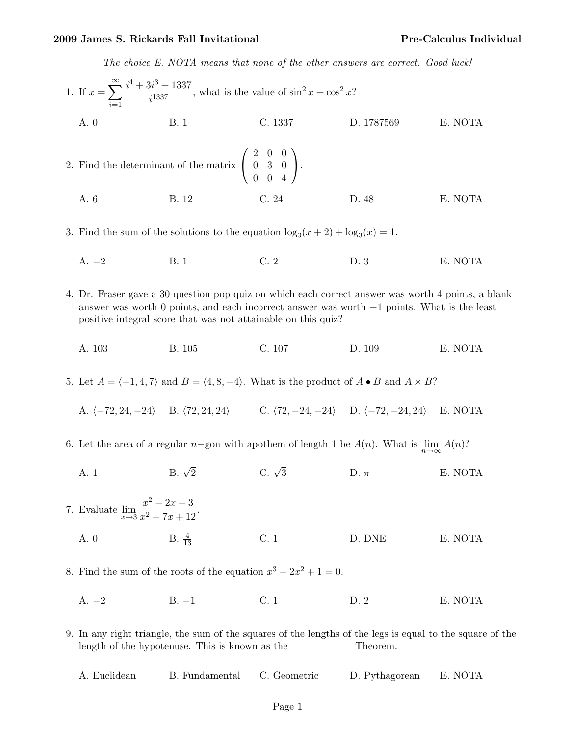The choice E. NOTA means that none of the other answers are correct. Good luck!

1. If 
$$
x = \sum_{i=1}^{\infty} \frac{i^4 + 3i^3 + 1337}{i^{1337}}
$$
, what is the value of  $\sin^2 x + \cos^2 x$ ?  
\nA. 0  
\nB. 1  
\nC. 1337  
\nD. 1787569  
\nE. NOTA  
\n2. Find the determinant of the matrix  $\begin{pmatrix} 2 & 0 & 0 \\ 0 & 3 & 0 \\ 0 & 0 & 4 \end{pmatrix}$ .  
\nA. 6  
\nB. 12  
\nC. 24  
\nD. 48  
\nE. NOTA

3. Find the sum of the solutions to the equation  $\log_3(x+2) + \log_3(x) = 1$ .

- A. −2 B. 1 C. 2 D. 3 E. NOTA
- 4. Dr. Fraser gave a 30 question pop quiz on which each correct answer was worth 4 points, a blank answer was worth 0 points, and each incorrect answer was worth −1 points. What is the least positive integral score that was not attainable on this quiz?
	- A. 103 B. 105 C. 107 D. 109 E. NOTA

5. Let  $A = \langle -1, 4, 7 \rangle$  and  $B = \langle 4, 8, -4 \rangle$ . What is the product of  $A \bullet B$  and  $A \times B$ ?

A.  $\langle -72, 24, -24 \rangle$  B.  $\langle 72, 24, 24 \rangle$  C.  $\langle 72, -24, -24 \rangle$  D.  $\langle -72, -24, 24 \rangle$  E. NOTA

- 6. Let the area of a regular n–gon with apothem of length 1 be  $A(n)$ . What is  $\lim_{n\to\infty} A(n)$ ?
	- A. 1 B.  $\sqrt{2}$ C.  $\sqrt{3}$ D.  $\pi$  E. NOTA
- 7. Evaluate  $\lim_{x\to 3}$  $x^2 - 2x - 3$  $\frac{x}{x^2+7x+12}$ . A. 0 B.  $\frac{4}{13}$  $\frac{4}{13}$  C. 1 D. DNE E. NOTA
- 8. Find the sum of the roots of the equation  $x^3 2x^2 + 1 = 0$ .
	- A. −2 B. −1 C. 1 D. 2 E. NOTA

9. In any right triangle, the sum of the squares of the lengths of the legs is equal to the square of the length of the hypotenuse. This is known as the  $\_\_$  Theorem.

| A. Euclidean<br>B. Fundamental C. Geometric |  | D. Pythagorean | E. NOTA |
|---------------------------------------------|--|----------------|---------|
|---------------------------------------------|--|----------------|---------|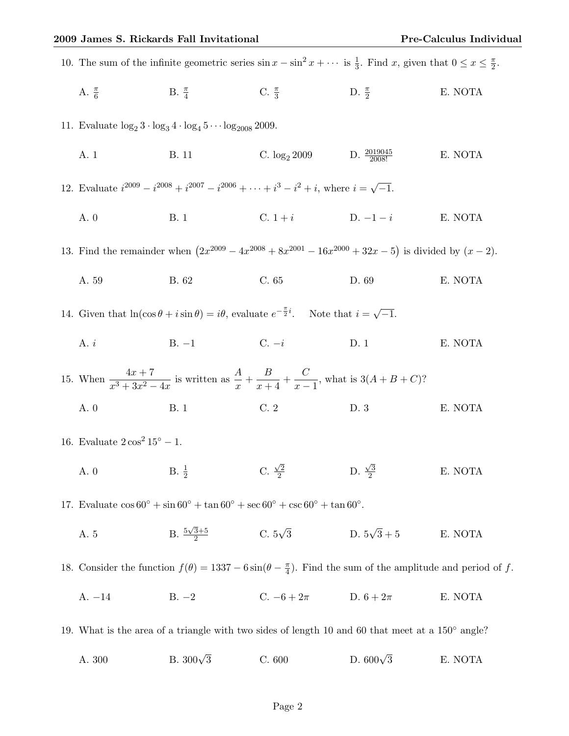| 10. The sum of the infinite geometric series $\sin x - \sin^2 x + \cdots$ is $\frac{1}{3}$ . Find x, given that $0 \le x \le \frac{\pi}{2}$ . |                    |                                                            |                    |         |  |  |
|-----------------------------------------------------------------------------------------------------------------------------------------------|--------------------|------------------------------------------------------------|--------------------|---------|--|--|
| A. $\frac{\pi}{6}$                                                                                                                            | B. $\frac{\pi}{4}$ | C. $\frac{\pi}{3}$                                         | D. $\frac{\pi}{2}$ | E. NOTA |  |  |
| 11. Evaluate $\log_2 3 \cdot \log_3 4 \cdot \log_4 5 \cdots \log_{2008} 2009$ .                                                               |                    |                                                            |                    |         |  |  |
| A. 1                                                                                                                                          | <b>B.</b> 11       | C. $\log_2 2009$ D. $\frac{2019045}{2008!}$                |                    | E. NOTA |  |  |
| 12. Evaluate $i^{2009} - i^{2008} + i^{2007} - i^{2006} + \cdots + i^{3} - i^{2} + i$ , where $i = \sqrt{-1}$ .                               |                    |                                                            |                    |         |  |  |
| A. 0                                                                                                                                          | <b>B.</b> 1        | C. $1 + i$ D. $-1 - i$                                     |                    | E. NOTA |  |  |
| 13. Find the remainder when $(2x^{2009} - 4x^{2008} + 8x^{2001} - 16x^{2000} + 32x - 5)$ is divided by $(x - 2)$ .                            |                    |                                                            |                    |         |  |  |
| A. 59                                                                                                                                         | B. 62              | C. 65                                                      | D. 69              | E. NOTA |  |  |
| 14. Given that $\ln(\cos\theta + i\sin\theta) = i\theta$ , evaluate $e^{-\frac{\pi}{2}i}$ . Note that $i = \sqrt{-1}$ .                       |                    |                                                            |                    |         |  |  |
| A. $i$                                                                                                                                        |                    | B. $-1$ C. $-i$                                            | D.1                | E. NOTA |  |  |
| 15. When $\frac{4x+7}{x^3+3x^2-4x}$ is written as $\frac{A}{x} + \frac{B}{x+4} + \frac{C}{x-1}$ , what is $3(A+B+C)$ ?                        |                    |                                                            |                    |         |  |  |
| A. 0                                                                                                                                          | <b>B.</b> 1        | C.2                                                        | D.3                | E. NOTA |  |  |
| 16. Evaluate $2\cos^2 15^\circ - 1$ .                                                                                                         |                    |                                                            |                    |         |  |  |
| A. 0 B. $\frac{1}{2}$                                                                                                                         |                    | C. $\frac{\sqrt{2}}{2}$ D. $\frac{\sqrt{3}}{2}$            |                    | E. NOTA |  |  |
| 17. Evaluate $\cos 60^{\circ} + \sin 60^{\circ} + \tan 60^{\circ} + \sec 60^{\circ} + \csc 60^{\circ} + \tan 60^{\circ}$ .                    |                    |                                                            |                    |         |  |  |
| A. 5                                                                                                                                          |                    | B. $\frac{5\sqrt{3}+5}{2}$ C. $5\sqrt{3}$ D. $5\sqrt{3}+5$ |                    | E. NOTA |  |  |
| 18. Consider the function $f(\theta) = 1337 - 6\sin(\theta - \frac{\pi}{4})$ . Find the sum of the amplitude and period of f.                 |                    |                                                            |                    |         |  |  |
| $A. -14$<br>$B. -2$                                                                                                                           |                    | C. $-6 + 2\pi$ D. $6 + 2\pi$                               |                    | E. NOTA |  |  |
| 19. What is the area of a triangle with two sides of length 10 and 60 that meet at a $150^{\circ}$ angle?                                     |                    |                                                            |                    |         |  |  |
| A. 300                                                                                                                                        | B. $300\sqrt{3}$   | C. 600                                                     | D. $600\sqrt{3}$   | E. NOTA |  |  |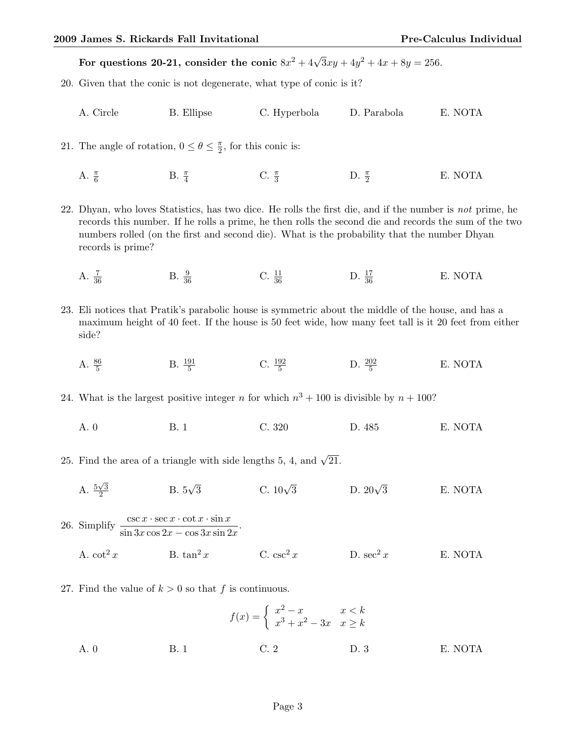For questions 20-21, consider the conic  $8x^2 + 4\sqrt{3}xy + 4y^2 + 4x + 8y = 256$ .

- 20. Given that the conic is not degenerate, what type of conic is it?
	- A. Circle B. Ellipse C. Hyperbola D. Parabola E. NOTA

21. The angle of rotation,  $0 \leq \theta \leq \frac{\pi}{2}$  $\frac{\pi}{2}$ , for this conic is:

A.  $\frac{\pi}{6}$ B.  $\frac{\pi}{4}$ C.  $\frac{\pi}{3}$  $\frac{\pi}{3}$  D.  $\frac{\pi}{2}$ E. NOTA

22. Dhyan, who loves Statistics, has two dice. He rolls the first die, and if the number is not prime, he records this number. If he rolls a prime, he then rolls the second die and records the sum of the two numbers rolled (on the first and second die). What is the probability that the number Dhyan records is prime?

- A.  $\frac{7}{36}$  $B. \frac{9}{36}$ C.  $\frac{11}{36}$ D.  $\frac{17}{36}$ E. NOTA
- 23. Eli notices that Pratik's parabolic house is symmetric about the middle of the house, and has a maximum height of 40 feet. If the house is 50 feet wide, how many feet tall is it 20 feet from either side?
	- A.  $\frac{86}{5}$ B.  $\frac{191}{5}$  $\frac{91}{5}$  C.  $\frac{192}{5}$  D.  $\frac{202}{5}$ E. NOTA
- 24. What is the largest positive integer n for which  $n^3 + 100$  is divisible by  $n + 100$ ?
	- A. 0 B. 1 C. 320 D. 485 E. NOTA
- 25. Find the area of a triangle with side lengths 5, 4, and  $\sqrt{21}$ .
	- A.  $\frac{5\sqrt{3}}{2}$  $\frac{\sqrt{3}}{2}$  B.  $5\sqrt{3}$  C.  $10\sqrt{3}$ D.  $20\sqrt{3}$ E. NOTA

26. Simplify  $\frac{\csc x \cdot \sec x \cdot \cot x \cdot \sin x}{\sin 3x \cos 2x - \cos 3x \sin 2x}$ .

- A.  $\cot^2 x$  B.  $\tan^2 x$  C.  $\csc^2 x$  D.  $\sec^2 x$  E. NOTA
- 27. Find the value of  $k > 0$  so that f is continuous.

$$
f(x) = \begin{cases} x^2 - x & x < k \\ x^3 + x^2 - 3x & x \ge k \end{cases}
$$
  
A. 0  
B. 1  
C. 2  
D. 3  
E. NOTA